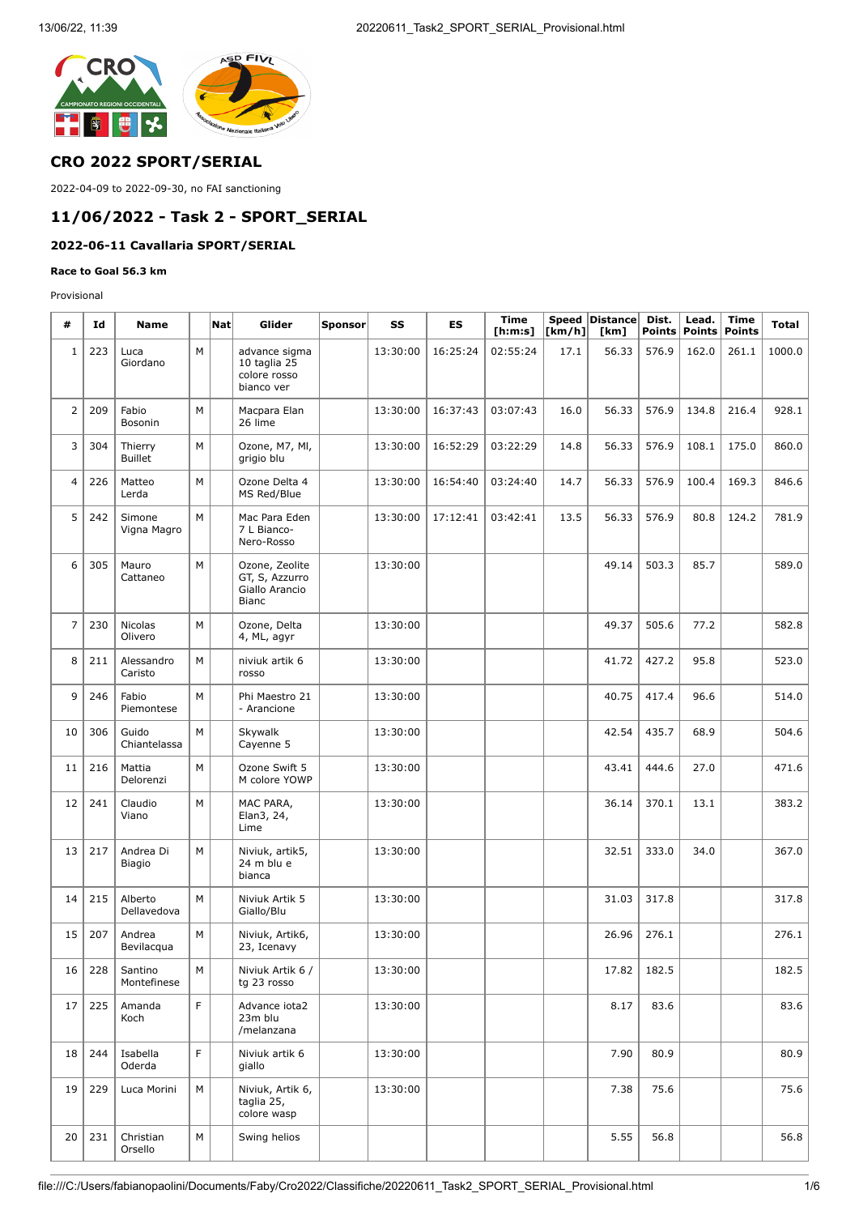

## **CRO 2022 SPORT/SERIAL**

2022-04-09 to 2022-09-30, no FAI sanctioning

# **11/06/2022 - Task 2 - SPORT\_SERIAL**

## **2022-06-11 Cavallaria SPORT/SERIAL**

#### **Race to Goal 56.3 km**

Provisional

| #              | Id  | <b>Name</b>                |   | $\vert$ Nat $\vert$ | Glider                                                             | <b>Sponsor</b> | SS       | ES       | <b>Time</b><br>[ <b>h</b> : <b>m</b> : <b>s</b> ] | [km/h] | Speed Distance<br>[km] | Dist.<br><b>Points</b> | Lead.<br><b>Points</b> | <b>Time</b><br><b>Points</b> | <b>Total</b> |
|----------------|-----|----------------------------|---|---------------------|--------------------------------------------------------------------|----------------|----------|----------|---------------------------------------------------|--------|------------------------|------------------------|------------------------|------------------------------|--------------|
| $1\,$          | 223 | Luca<br>Giordano           | M |                     | advance sigma<br>10 taglia 25<br>colore rosso<br>bianco ver        |                | 13:30:00 | 16:25:24 | 02:55:24                                          | 17.1   | 56.33                  | 576.9                  | 162.0                  | 261.1                        | 1000.0       |
| $\overline{2}$ | 209 | Fabio<br>Bosonin           | M |                     | Macpara Elan<br>26 lime                                            |                | 13:30:00 | 16:37:43 | 03:07:43                                          | 16.0   | 56.33                  | 576.9                  | 134.8                  | 216.4                        | 928.1        |
| 3              | 304 | Thierry<br><b>Buillet</b>  | M |                     | Ozone, M7, MI,<br>grigio blu                                       |                | 13:30:00 | 16:52:29 | 03:22:29                                          | 14.8   | 56.33                  | 576.9                  | 108.1                  | 175.0                        | 860.0        |
| 4              | 226 | Matteo<br>Lerda            | M |                     | Ozone Delta 4<br>MS Red/Blue                                       |                | 13:30:00 | 16:54:40 | 03:24:40                                          | 14.7   | 56.33                  | 576.9                  | 100.4                  | 169.3                        | 846.6        |
| 5              | 242 | Simone<br>Vigna Magro      | M |                     | Mac Para Eden<br>7 L Bianco-<br>Nero-Rosso                         |                | 13:30:00 | 17:12:41 | 03:42:41                                          | 13.5   | 56.33                  | 576.9                  | 80.8                   | 124.2                        | 781.9        |
| 6              | 305 | Mauro<br>Cattaneo          | M |                     | Ozone, Zeolite<br>GT, S, Azzurro<br>Giallo Arancio<br><b>Bianc</b> |                | 13:30:00 |          |                                                   |        | 49.14                  | 503.3                  | 85.7                   |                              | 589.0        |
| $\overline{7}$ | 230 | Nicolas<br>Olivero         | M |                     | Ozone, Delta<br>4, ML, agyr                                        |                | 13:30:00 |          |                                                   |        | 49.37                  | 505.6                  | 77.2                   |                              | 582.8        |
| 8              | 211 | Alessandro<br>Caristo      | M |                     | niviuk artik 6<br>rosso                                            |                | 13:30:00 |          |                                                   |        | 41.72                  | 427.2                  | 95.8                   |                              | 523.0        |
| 9              | 246 | Fabio<br>Piemontese        | M |                     | Phi Maestro 21<br>- Arancione                                      |                | 13:30:00 |          |                                                   |        | 40.75                  | 417.4                  | 96.6                   |                              | 514.0        |
| 10             | 306 | Guido<br>Chiantelassa      | M |                     | Skywalk<br>Cayenne 5                                               |                | 13:30:00 |          |                                                   |        | 42.54                  | 435.7                  | 68.9                   |                              | 504.6        |
| 11             | 216 | Mattia<br>Delorenzi        | M |                     | Ozone Swift 5<br>M colore YOWP                                     |                | 13:30:00 |          |                                                   |        | 43.41                  | 444.6                  | 27.0                   |                              | 471.6        |
| 12             | 241 | Claudio<br>Viano           | M |                     | MAC PARA,<br>Elan3, 24,<br>Lime                                    |                | 13:30:00 |          |                                                   |        | 36.14                  | 370.1                  | 13.1                   |                              | 383.2        |
| 13             | 217 | Andrea Di<br><b>Biagio</b> | M |                     | Niviuk, artik5,<br>24 m blu e<br>bianca                            |                | 13:30:00 |          |                                                   |        | 32.51                  | 333.0                  | 34.0                   |                              | 367.0        |
| 14             | 215 | Alberto<br>Dellavedova     | M |                     | Niviuk Artik 5<br>Giallo/Blu                                       |                | 13:30:00 |          |                                                   |        | 31.03                  | 317.8                  |                        |                              | 317.8        |
| 15             | 207 | Andrea<br>Bevilacqua       | M |                     | Niviuk, Artik6,<br>23, Icenavy                                     |                | 13:30:00 |          |                                                   |        | 26.96                  | 276.1                  |                        |                              | 276.1        |
| 16             | 228 | Santino<br>Montefinese     | M |                     | Niviuk Artik 6 /<br>tg 23 rosso                                    |                | 13:30:00 |          |                                                   |        | 17.82                  | 182.5                  |                        |                              | 182.5        |
| 17             | 225 | Amanda<br>Koch             | F |                     | Advance iota2<br>23m blu<br>/melanzana                             |                | 13:30:00 |          |                                                   |        | 8.17                   | 83.6                   |                        |                              | 83.6         |
| 18             | 244 | Isabella<br>Oderda         | F |                     | Niviuk artik 6<br>giallo                                           |                | 13:30:00 |          |                                                   |        | 7.90                   | 80.9                   |                        |                              | 80.9         |
| 19             | 229 | Luca Morini                | M |                     | Niviuk, Artik 6,<br>taglia 25,<br>colore wasp                      |                | 13:30:00 |          |                                                   |        | 7.38                   | 75.6                   |                        |                              | 75.6         |
| 20             | 231 | Christian<br>Orsello       | M |                     | Swing helios                                                       |                |          |          |                                                   |        | 5.55                   | 56.8                   |                        |                              | 56.8         |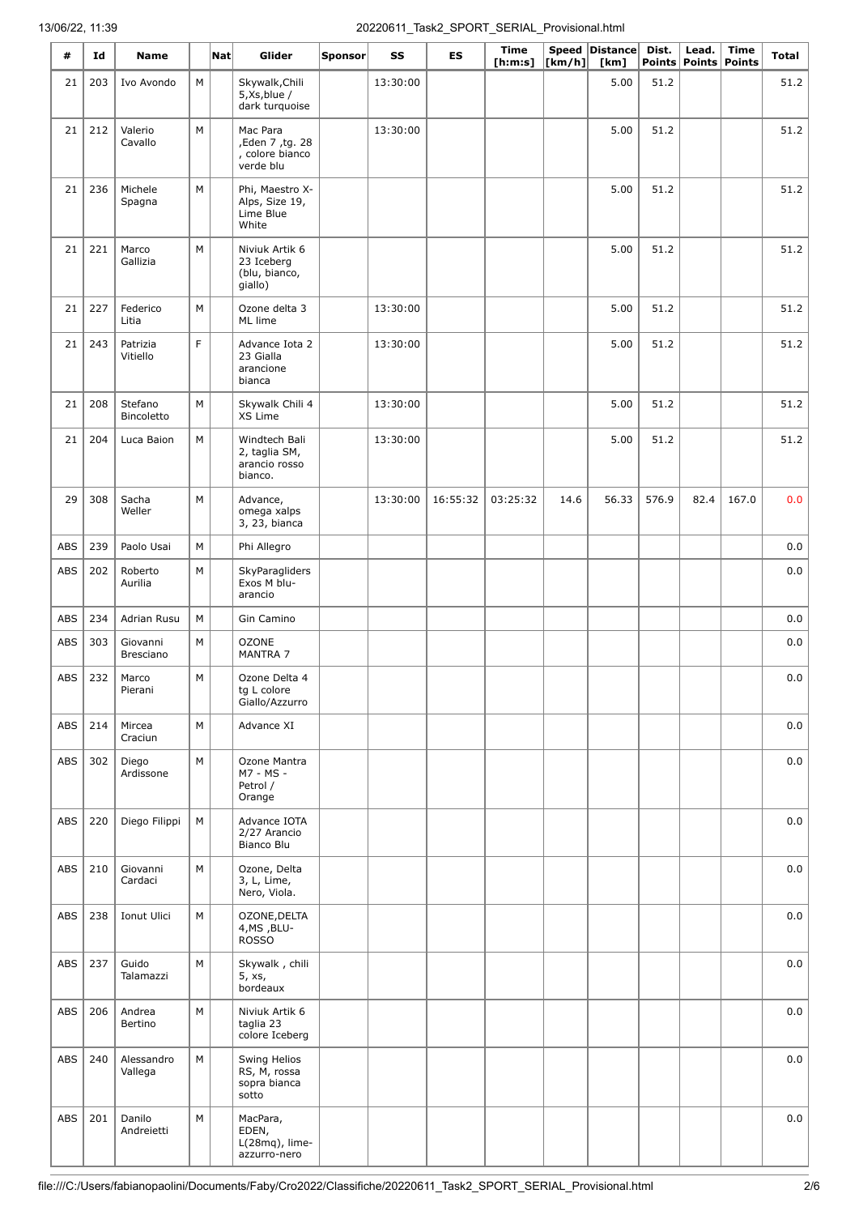| #          | Id  | <b>Name</b>           |   | $\vert$ Nat $\vert$ | Glider                                                      | Sponsor | SS       | <b>ES</b> | <b>Time</b><br>[ <b>h</b> : <b>m</b> : <b>s</b> ] | $\lfloor \lfloor km/h \rfloor \rfloor$ | Speed Distance<br>[km] | Dist. | Lead.<br>Points   Points | <b>Time</b><br><b>Points</b> | <b>Total</b> |
|------------|-----|-----------------------|---|---------------------|-------------------------------------------------------------|---------|----------|-----------|---------------------------------------------------|----------------------------------------|------------------------|-------|--------------------------|------------------------------|--------------|
| 21         | 203 | Ivo Avondo            | М |                     | Skywalk, Chili<br>5,Xs, blue/<br>dark turquoise             |         | 13:30:00 |           |                                                   |                                        | 5.00                   | 51.2  |                          |                              | 51.2         |
| 21         | 212 | Valerio<br>Cavallo    | M |                     | Mac Para<br>,Eden 7, tg. 28<br>, colore bianco<br>verde blu |         | 13:30:00 |           |                                                   |                                        | 5.00                   | 51.2  |                          |                              | 51.2         |
| 21         | 236 | Michele<br>Spagna     | M |                     | Phi, Maestro X-<br>Alps, Size 19,<br>Lime Blue<br>White     |         |          |           |                                                   |                                        | 5.00                   | 51.2  |                          |                              | 51.2         |
| 21         | 221 | Marco<br>Gallizia     | M |                     | Niviuk Artik 6<br>23 Iceberg<br>(blu, bianco,<br>giallo)    |         |          |           |                                                   |                                        | 5.00                   | 51.2  |                          |                              | 51.2         |
| 21         | 227 | Federico<br>Litia     | M |                     | Ozone delta 3<br>ML lime                                    |         | 13:30:00 |           |                                                   |                                        | 5.00                   | 51.2  |                          |                              | 51.2         |
| 21         | 243 | Patrizia<br>Vitiello  | F |                     | Advance Iota 2<br>23 Gialla<br>arancione<br>bianca          |         | 13:30:00 |           |                                                   |                                        | 5.00                   | 51.2  |                          |                              | 51.2         |
| 21         | 208 | Stefano<br>Bincoletto | M |                     | Skywalk Chili 4<br>XS Lime                                  |         | 13:30:00 |           |                                                   |                                        | 5.00                   | 51.2  |                          |                              | 51.2         |
| 21         | 204 | Luca Baion            | М |                     | Windtech Bali<br>2, taglia SM,<br>arancio rosso<br>bianco.  |         | 13:30:00 |           |                                                   |                                        | 5.00                   | 51.2  |                          |                              | 51.2         |
| 29         | 308 | Sacha<br>Weller       | M |                     | Advance,<br>omega xalps<br>3, 23, bianca                    |         | 13:30:00 | 16:55:32  | 03:25:32                                          | 14.6                                   | 56.33                  | 576.9 | 82.4                     | 167.0                        | 0.0          |
| ABS        | 239 | Paolo Usai            | M |                     | Phi Allegro                                                 |         |          |           |                                                   |                                        |                        |       |                          |                              | 0.0          |
| <b>ABS</b> | 202 | Roberto<br>Aurilia    | M |                     | SkyParagliders<br>Exos M blu-<br>arancio                    |         |          |           |                                                   |                                        |                        |       |                          |                              | $_{0.0}$     |
| <b>ABS</b> | 234 | Adrian Rusu           | M |                     | Gin Camino                                                  |         |          |           |                                                   |                                        |                        |       |                          |                              | 0.0          |
| ABS        | 303 | Giovanni<br>Bresciano | M |                     | <b>OZONE</b><br>MANTRA 7                                    |         |          |           |                                                   |                                        |                        |       |                          |                              | 0.0          |
| ABS        | 232 | Marco<br>Pierani      | M |                     | Ozone Delta 4<br>tg L colore<br>Giallo/Azzurro              |         |          |           |                                                   |                                        |                        |       |                          |                              | 0.0          |
| <b>ABS</b> | 214 | Mircea<br>Craciun     | M |                     | Advance XI                                                  |         |          |           |                                                   |                                        |                        |       |                          |                              | 0.0          |
| <b>ABS</b> | 302 | Diego<br>Ardissone    | М |                     | Ozone Mantra<br>M7 - MS -<br>Petrol /<br>Orange             |         |          |           |                                                   |                                        |                        |       |                          |                              | 0.0          |
| <b>ABS</b> | 220 | Diego Filippi         | M |                     | Advance IOTA<br>2/27 Arancio<br>Bianco Blu                  |         |          |           |                                                   |                                        |                        |       |                          |                              | 0.0          |
| <b>ABS</b> | 210 | Giovanni<br>Cardaci   | M |                     | Ozone, Delta<br>3, L, Lime,<br>Nero, Viola.                 |         |          |           |                                                   |                                        |                        |       |                          |                              | 0.0          |
| ABS        | 238 | Ionut Ulici           | M |                     | OZONE, DELTA<br>4, MS, BLU-<br><b>ROSSO</b>                 |         |          |           |                                                   |                                        |                        |       |                          |                              | 0.0          |
| <b>ABS</b> | 237 | Guido<br>Talamazzi    | M |                     | Skywalk, chili<br>5, xs,<br>bordeaux                        |         |          |           |                                                   |                                        |                        |       |                          |                              | 0.0          |
| <b>ABS</b> | 206 | Andrea<br>Bertino     | M |                     | Niviuk Artik 6<br>taglia 23<br>colore Iceberg               |         |          |           |                                                   |                                        |                        |       |                          |                              | 0.0          |
| <b>ABS</b> | 240 | Alessandro<br>Vallega | М |                     | Swing Helios<br>RS, M, rossa<br>sopra bianca<br>sotto       |         |          |           |                                                   |                                        |                        |       |                          |                              | 0.0          |
| <b>ABS</b> | 201 | Danilo<br>Andreietti  | M |                     | MacPara,<br>EDEN,<br>$L(28mq)$ , lime-<br>azzurro-nero      |         |          |           |                                                   |                                        |                        |       |                          |                              | 0.0          |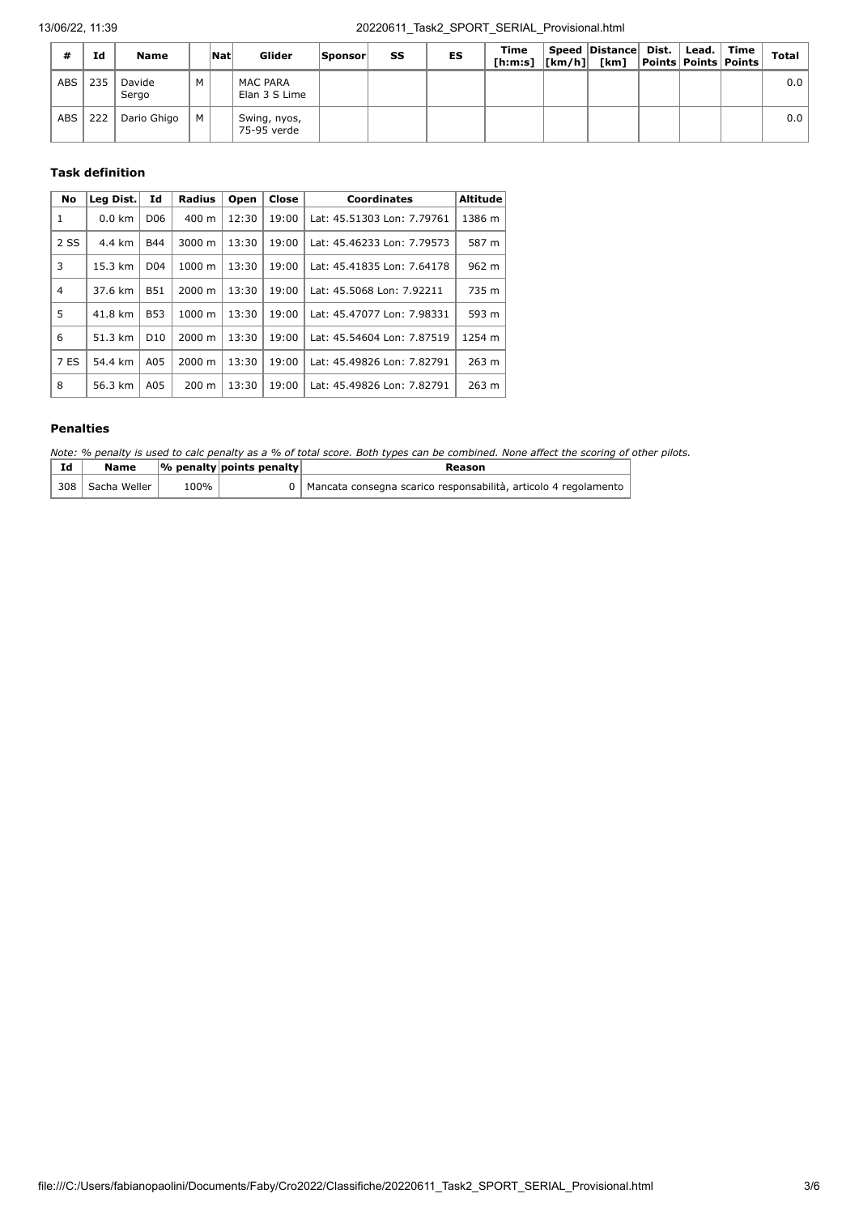| #          | Ιd  | <b>Name</b>     |   | <b>Nat</b> | Glider                           | <b>Sponsor</b> | SS | ES | Time<br>[h:m:s]  [km/h]  [km]  Points   Points   Points | Speed Distance Dist. | Lead. Time | <b>Total</b> |
|------------|-----|-----------------|---|------------|----------------------------------|----------------|----|----|---------------------------------------------------------|----------------------|------------|--------------|
| ABS        | 235 | Davide<br>Sergo | M |            | <b>MAC PARA</b><br>Elan 3 S Lime |                |    |    |                                                         |                      |            | 0.0          |
| <b>ABS</b> | 222 | Dario Ghigo     | M |            | Swing, nyos,<br>75-95 verde      |                |    |    |                                                         |                      |            | 0.0          |

#### **Task definition**

| No          | Leg Dist. | Id              | <b>Radius</b>   | Open  | Close | <b>Coordinates</b>         | Altitude |
|-------------|-----------|-----------------|-----------------|-------|-------|----------------------------|----------|
| 1           | $0.0$ km  | D <sub>06</sub> | 400 m           | 12:30 | 19:00 | Lat: 45.51303 Lon: 7.79761 | 1386 m   |
| 2 SS        | 4.4 km    | <b>B44</b>      | 3000 m          | 13:30 | 19:00 | Lat: 45.46233 Lon: 7.79573 | 587 m    |
| 3           | 15.3 km   | D <sub>04</sub> | 1000 m          | 13:30 | 19:00 | Lat: 45.41835 Lon: 7.64178 | 962 m    |
| 4           | 37.6 km   | <b>B51</b>      | 2000 m          | 13:30 | 19:00 | Lat: 45.5068 Lon: 7.92211  | 735 m    |
| 5           | 41.8 km   | <b>B53</b>      | 1000 m          | 13:30 | 19:00 | Lat: 45.47077 Lon: 7.98331 | 593 m    |
| 6           | 51.3 km   | D <sub>10</sub> | 2000 m          | 13:30 | 19:00 | Lat: 45.54604 Lon: 7.87519 | 1254 m   |
| <b>7 ES</b> | 54.4 km   | A05             | 2000 m          | 13:30 | 19:00 | Lat: 45.49826 Lon: 7.82791 | 263 m    |
| 8           | 56.3 km   | A05             | $200 \text{ m}$ | 13:30 | 19:00 | Lat: 45.49826 Lon: 7.82791 | 263 m    |

### **Penalties**

*Note: % penalty is used to calc penalty as a % of total score. Both types can be combined. None affect the scoring of other pilots.*

| Id | Name             |         | $\sqrt{\frac{9}{6}}$ penalty points penalty | Reason                                                            |
|----|------------------|---------|---------------------------------------------|-------------------------------------------------------------------|
|    | 308 Sacha Weller | $100\%$ |                                             | 0 Mancata consegna scarico responsabilità, articolo 4 regolamento |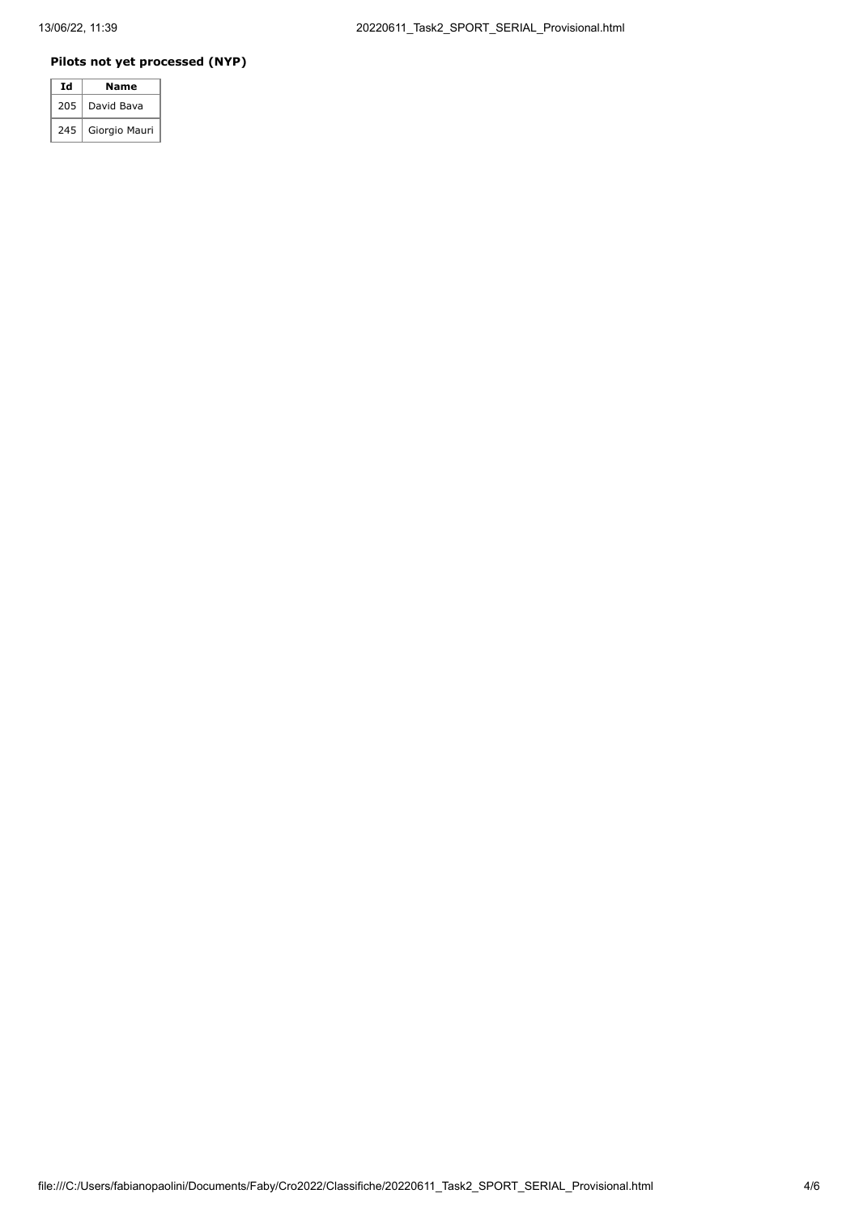### **Pilots not yet processed (NYP)**

| Ιd  | Name          |
|-----|---------------|
| 205 | David Bava    |
| 245 | Giorgio Mauri |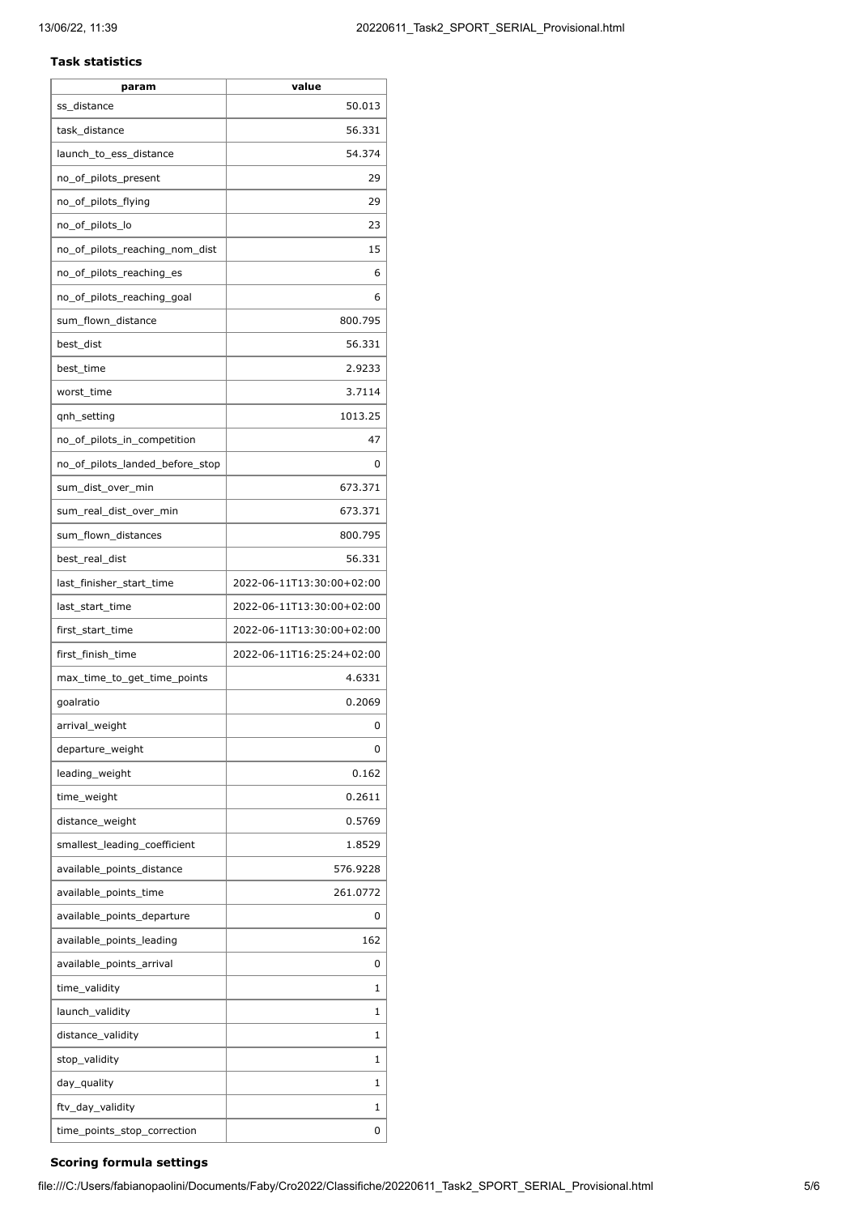#### **Task statistics**

| param                            | value                     |
|----------------------------------|---------------------------|
| ss distance                      | 50.013                    |
| task_distance                    | 56.331                    |
| launch_to_ess_distance           | 54.374                    |
| no_of_pilots_present             | 29                        |
| no_of_pilots_flying              | 29                        |
| no_of_pilots_lo                  | 23                        |
| no_of_pilots_reaching_nom_dist   | 15                        |
| no_of_pilots_reaching_es         | 6                         |
| no_of_pilots_reaching_goal       | 6                         |
| sum_flown_distance               | 800.795                   |
| best_dist                        | 56.331                    |
| best_time                        | 2.9233                    |
| worst_time                       | 3.7114                    |
| qnh_setting                      | 1013.25                   |
| no_of_pilots_in_competition      | 47                        |
| no_of_pilots_landed_before_stop  | 0                         |
| sum_dist_over_min                | 673.371                   |
| sum_real_dist_over_min           | 673.371                   |
| sum_flown_distances              | 800.795                   |
| best_real_dist                   | 56.331                    |
| last_finisher_start_time         | 2022-06-11T13:30:00+02:00 |
| last_start_time                  | 2022-06-11T13:30:00+02:00 |
| first_start_time                 | 2022-06-11T13:30:00+02:00 |
| first_finish_time                | 2022-06-11T16:25:24+02:00 |
| max_time_to_get_time_points      | 4.6331                    |
| goalratio                        | 0.2069                    |
| arrival_weight                   | 0                         |
| departure_weight                 | 0                         |
| leading_weight                   | 0.162                     |
| time_weight                      | 0.2611                    |
| distance_weight                  | 0.5769                    |
| smallest_leading_coefficient     | 1.8529                    |
| available_points_distance        | 576.9228                  |
| available_points_time            | 261.0772                  |
| available_points_departure       | 0                         |
| available_points_leading         | 162                       |
| available_points_arrival         | 0                         |
|                                  | 1                         |
| time_validity<br>launch_validity | 1                         |
|                                  |                           |
| distance_validity                | 1                         |
| stop_validity                    | 1                         |
| day_quality                      | 1                         |
| ftv_day_validity                 | 1                         |
| time_points_stop_correction      | 0                         |

### **Scoring formula settings**